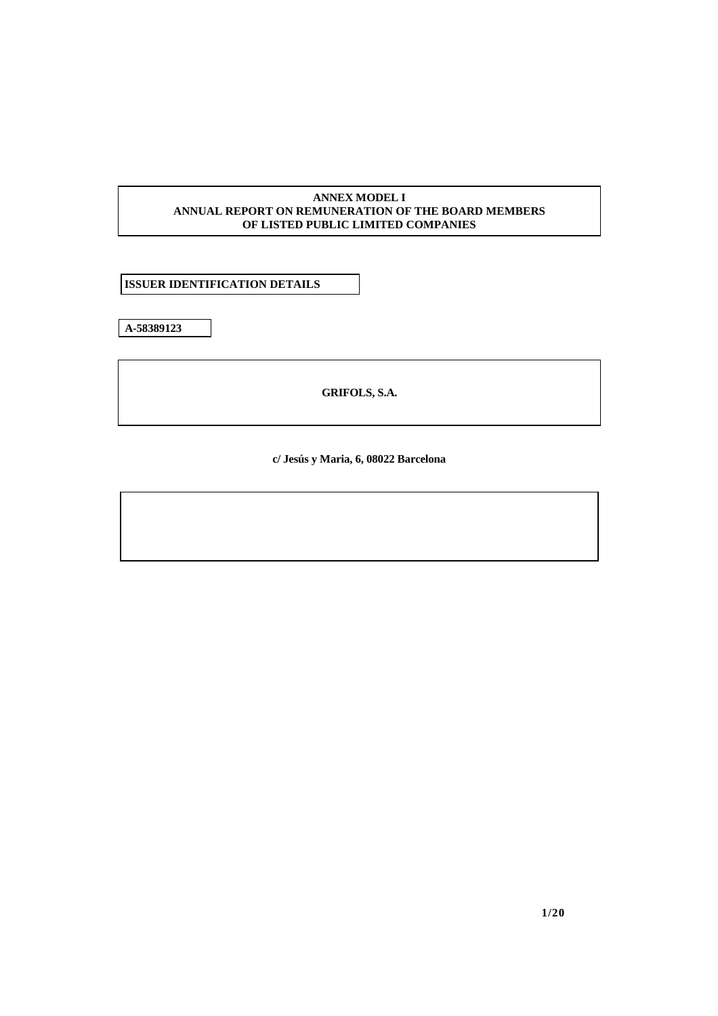## **ANNEX MODEL I ANNUAL REPORT ON REMUNERATION OF THE BOARD MEMBERS OF LISTED PUBLIC LIMITED COMPANIES**

 **ISSUER IDENTIFICATION DETAILS**

**A-58389123** 

**GRIFOLS, S.A.** 

**c/ Jesús y Maria, 6, 08022 Barcelona**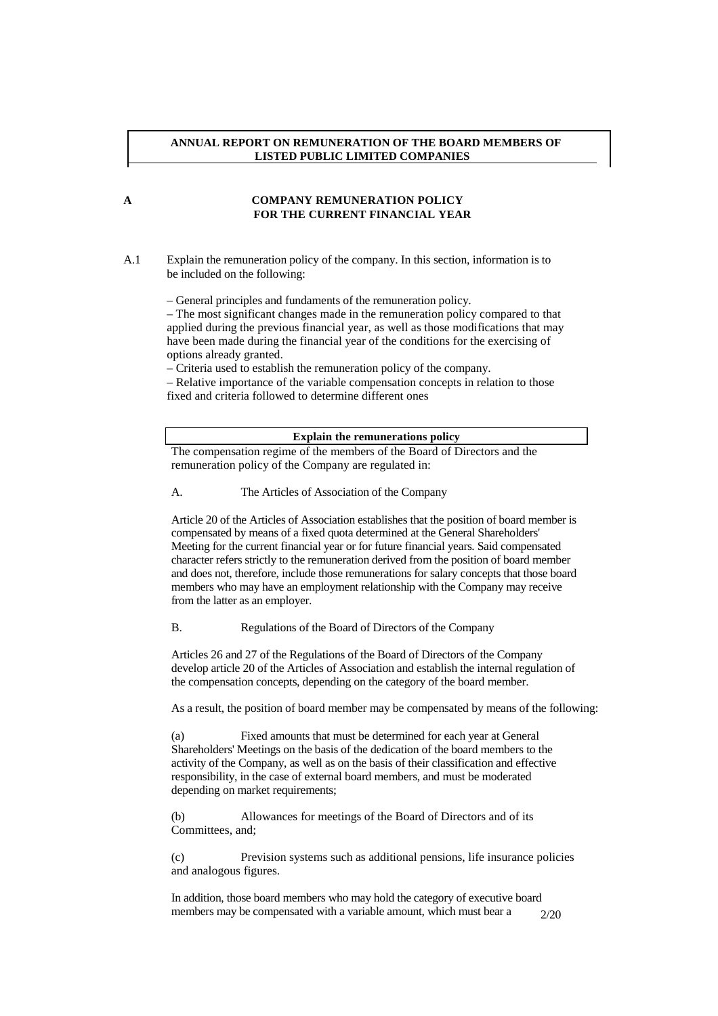### **ANNUAL REPORT ON REMUNERATION OF THE BOARD MEMBERS OF LISTED PUBLIC LIMITED COMPANIES**

# **A COMPANY REMUNERATION POLICY FOR THE CURRENT FINANCIAL YEAR**

A.1 Explain the remuneration policy of the company. In this section, information is to be included on the following:

– General principles and fundaments of the remuneration policy.

– The most significant changes made in the remuneration policy compared to that applied during the previous financial year, as well as those modifications that may have been made during the financial year of the conditions for the exercising of options already granted.

– Criteria used to establish the remuneration policy of the company.

– Relative importance of the variable compensation concepts in relation to those fixed and criteria followed to determine different ones

**Explain the remunerations policy** 

The compensation regime of the members of the Board of Directors and the remuneration policy of the Company are regulated in:

A. The Articles of Association of the Company

Article 20 of the Articles of Association establishes that the position of board member is compensated by means of a fixed quota determined at the General Shareholders' Meeting for the current financial year or for future financial years. Said compensated character refers strictly to the remuneration derived from the position of board member and does not, therefore, include those remunerations for salary concepts that those board members who may have an employment relationship with the Company may receive from the latter as an employer.

B. Regulations of the Board of Directors of the Company

Articles 26 and 27 of the Regulations of the Board of Directors of the Company develop article 20 of the Articles of Association and establish the internal regulation of the compensation concepts, depending on the category of the board member.

As a result, the position of board member may be compensated by means of the following:

(a) Fixed amounts that must be determined for each year at General Shareholders' Meetings on the basis of the dedication of the board members to the activity of the Company, as well as on the basis of their classification and effective responsibility, in the case of external board members, and must be moderated depending on market requirements;

(b) Allowances for meetings of the Board of Directors and of its Committees, and;

(c) Prevision systems such as additional pensions, life insurance policies and analogous figures.

2/20 In addition, those board members who may hold the category of executive board members may be compensated with a variable amount, which must bear a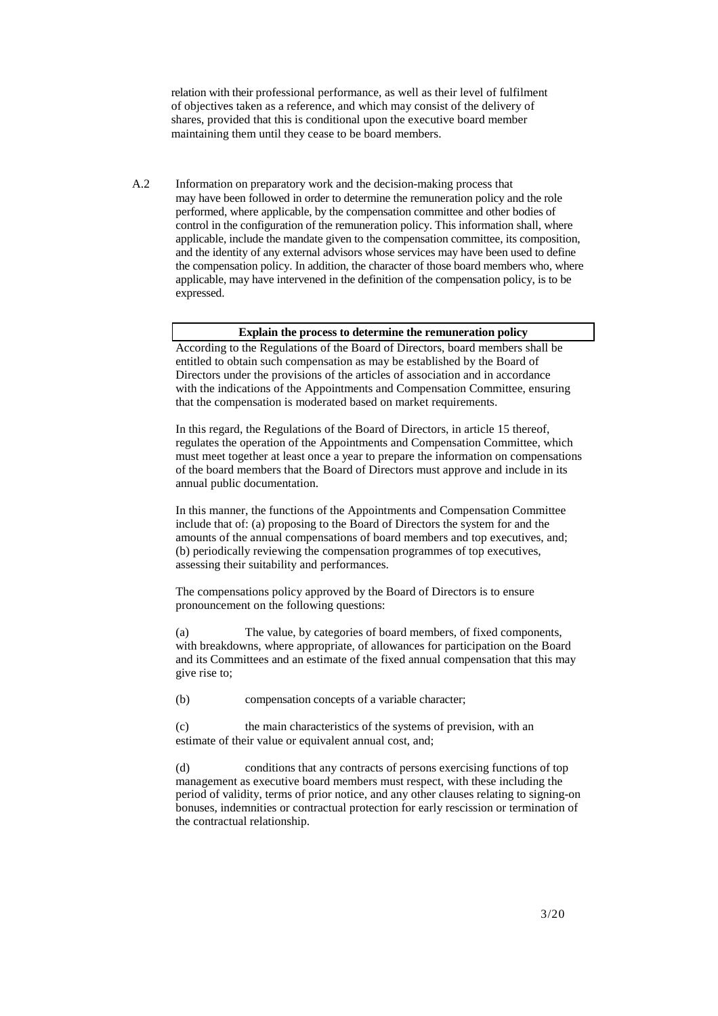relation with their professional performance, as well as their level of fulfilment of objectives taken as a reference, and which may consist of the delivery of shares, provided that this is conditional upon the executive board member maintaining them until they cease to be board members.

A.2 Information on preparatory work and the decision-making process that may have been followed in order to determine the remuneration policy and the role performed, where applicable, by the compensation committee and other bodies of control in the configuration of the remuneration policy. This information shall, where applicable, include the mandate given to the compensation committee, its composition, and the identity of any external advisors whose services may have been used to define the compensation policy. In addition, the character of those board members who, where applicable, may have intervened in the definition of the compensation policy, is to be expressed.

### **Explain the process to determine the remuneration policy**

According to the Regulations of the Board of Directors, board members shall be entitled to obtain such compensation as may be established by the Board of Directors under the provisions of the articles of association and in accordance with the indications of the Appointments and Compensation Committee, ensuring that the compensation is moderated based on market requirements.

In this regard, the Regulations of the Board of Directors, in article 15 thereof, regulates the operation of the Appointments and Compensation Committee, which must meet together at least once a year to prepare the information on compensations of the board members that the Board of Directors must approve and include in its annual public documentation.

In this manner, the functions of the Appointments and Compensation Committee include that of: (a) proposing to the Board of Directors the system for and the amounts of the annual compensations of board members and top executives, and; (b) periodically reviewing the compensation programmes of top executives, assessing their suitability and performances.

The compensations policy approved by the Board of Directors is to ensure pronouncement on the following questions:

(a) The value, by categories of board members, of fixed components, with breakdowns, where appropriate, of allowances for participation on the Board and its Committees and an estimate of the fixed annual compensation that this may give rise to;

(b) compensation concepts of a variable character;

(c) the main characteristics of the systems of prevision, with an estimate of their value or equivalent annual cost, and;

(d) conditions that any contracts of persons exercising functions of top management as executive board members must respect, with these including the period of validity, terms of prior notice, and any other clauses relating to signing-on bonuses, indemnities or contractual protection for early rescission or termination of the contractual relationship.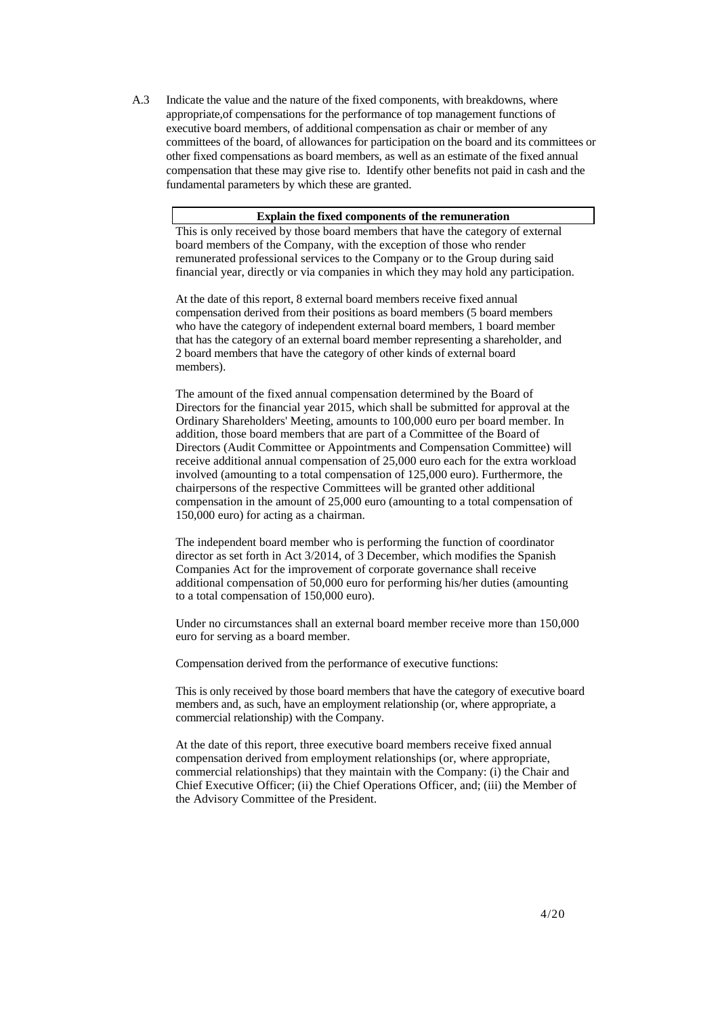A.3 Indicate the value and the nature of the fixed components, with breakdowns, where appropriate,of compensations for the performance of top management functions of executive board members, of additional compensation as chair or member of any committees of the board, of allowances for participation on the board and its committees or other fixed compensations as board members, as well as an estimate of the fixed annual compensation that these may give rise to. Identify other benefits not paid in cash and the fundamental parameters by which these are granted.

### **Explain the fixed components of the remuneration**

This is only received by those board members that have the category of external board members of the Company, with the exception of those who render remunerated professional services to the Company or to the Group during said financial year, directly or via companies in which they may hold any participation.

At the date of this report, 8 external board members receive fixed annual compensation derived from their positions as board members (5 board members who have the category of independent external board members, 1 board member that has the category of an external board member representing a shareholder, and 2 board members that have the category of other kinds of external board members).

The amount of the fixed annual compensation determined by the Board of Directors for the financial year 2015, which shall be submitted for approval at the Ordinary Shareholders' Meeting, amounts to 100,000 euro per board member. In addition, those board members that are part of a Committee of the Board of Directors (Audit Committee or Appointments and Compensation Committee) will receive additional annual compensation of 25,000 euro each for the extra workload involved (amounting to a total compensation of 125,000 euro). Furthermore, the chairpersons of the respective Committees will be granted other additional compensation in the amount of 25,000 euro (amounting to a total compensation of 150,000 euro) for acting as a chairman.

The independent board member who is performing the function of coordinator director as set forth in Act 3/2014, of 3 December, which modifies the Spanish Companies Act for the improvement of corporate governance shall receive additional compensation of 50,000 euro for performing his/her duties (amounting to a total compensation of 150,000 euro).

Under no circumstances shall an external board member receive more than 150,000 euro for serving as a board member.

Compensation derived from the performance of executive functions:

This is only received by those board members that have the category of executive board members and, as such, have an employment relationship (or, where appropriate, a commercial relationship) with the Company.

At the date of this report, three executive board members receive fixed annual compensation derived from employment relationships (or, where appropriate, commercial relationships) that they maintain with the Company: (i) the Chair and Chief Executive Officer; (ii) the Chief Operations Officer, and; (iii) the Member of the Advisory Committee of the President.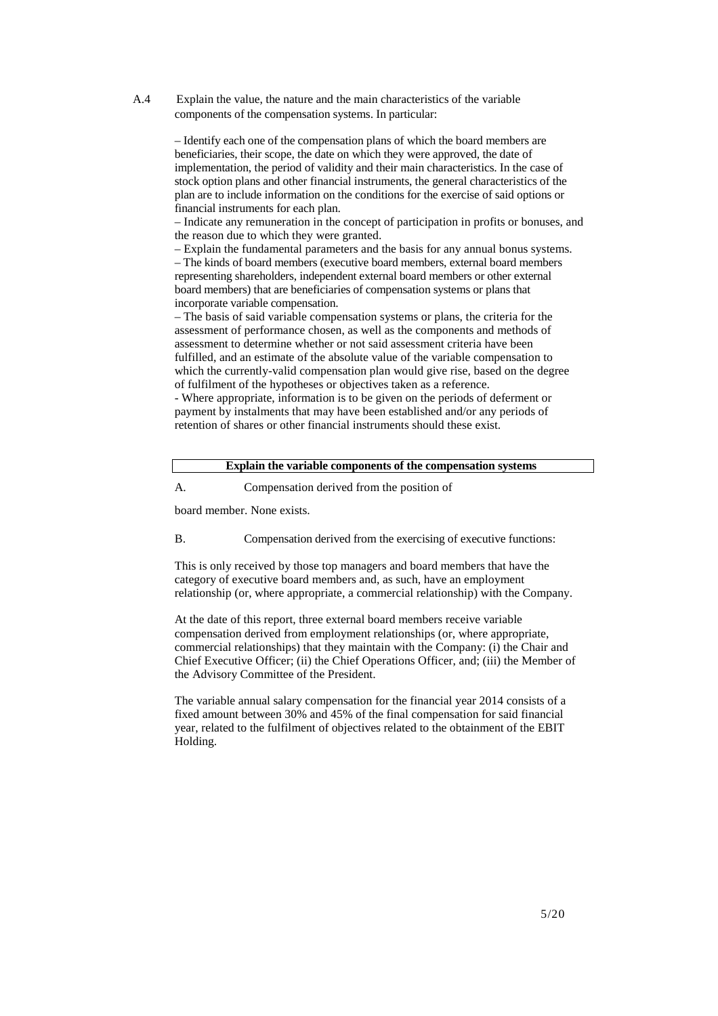A.4 Explain the value, the nature and the main characteristics of the variable components of the compensation systems. In particular:

> – Identify each one of the compensation plans of which the board members are beneficiaries, their scope, the date on which they were approved, the date of implementation, the period of validity and their main characteristics. In the case of stock option plans and other financial instruments, the general characteristics of the plan are to include information on the conditions for the exercise of said options or financial instruments for each plan.

– Indicate any remuneration in the concept of participation in profits or bonuses, and the reason due to which they were granted.

– Explain the fundamental parameters and the basis for any annual bonus systems. – The kinds of board members (executive board members, external board members representing shareholders, independent external board members or other external board members) that are beneficiaries of compensation systems or plans that incorporate variable compensation.

– The basis of said variable compensation systems or plans, the criteria for the assessment of performance chosen, as well as the components and methods of assessment to determine whether or not said assessment criteria have been fulfilled, and an estimate of the absolute value of the variable compensation to which the currently-valid compensation plan would give rise, based on the degree of fulfilment of the hypotheses or objectives taken as a reference.

- Where appropriate, information is to be given on the periods of deferment or payment by instalments that may have been established and/or any periods of retention of shares or other financial instruments should these exist.

| Explain the variable components of the compensation systems |
|-------------------------------------------------------------|
| Compensation derived from the position of                   |

board member. None exists.

B. Compensation derived from the exercising of executive functions:

This is only received by those top managers and board members that have the category of executive board members and, as such, have an employment relationship (or, where appropriate, a commercial relationship) with the Company.

At the date of this report, three external board members receive variable compensation derived from employment relationships (or, where appropriate, commercial relationships) that they maintain with the Company: (i) the Chair and Chief Executive Officer; (ii) the Chief Operations Officer, and; (iii) the Member of the Advisory Committee of the President.

The variable annual salary compensation for the financial year 2014 consists of a fixed amount between 30% and 45% of the final compensation for said financial year, related to the fulfilment of objectives related to the obtainment of the EBIT Holding.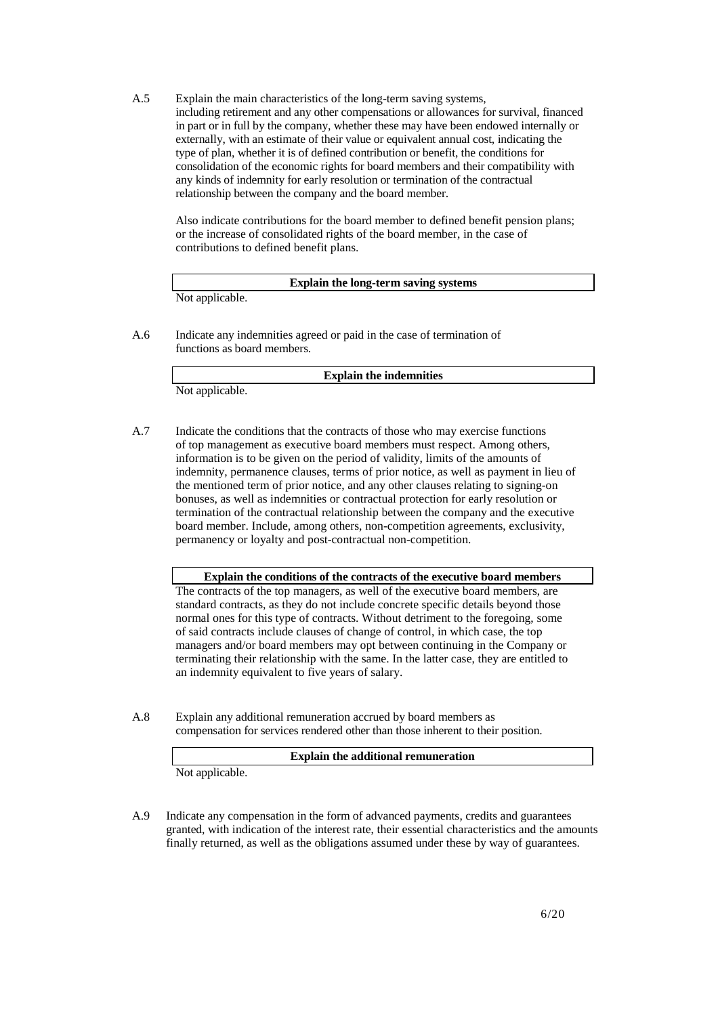A.5 Explain the main characteristics of the long-term saving systems, including retirement and any other compensations or allowances for survival, financed in part or in full by the company, whether these may have been endowed internally or externally, with an estimate of their value or equivalent annual cost, indicating the type of plan, whether it is of defined contribution or benefit, the conditions for consolidation of the economic rights for board members and their compatibility with any kinds of indemnity for early resolution or termination of the contractual relationship between the company and the board member.

Also indicate contributions for the board member to defined benefit pension plans; or the increase of consolidated rights of the board member, in the case of contributions to defined benefit plans.

|                 | Explain the long-term saving systems |  |
|-----------------|--------------------------------------|--|
| Not applicable. |                                      |  |

A.6 Indicate any indemnities agreed or paid in the case of termination of functions as board members.

**Explain the indemnities** 

Not applicable.

A.7 Indicate the conditions that the contracts of those who may exercise functions of top management as executive board members must respect. Among others, information is to be given on the period of validity, limits of the amounts of indemnity, permanence clauses, terms of prior notice, as well as payment in lieu of the mentioned term of prior notice, and any other clauses relating to signing-on bonuses, as well as indemnities or contractual protection for early resolution or termination of the contractual relationship between the company and the executive board member. Include, among others, non-competition agreements, exclusivity, permanency or loyalty and post-contractual non-competition.

**Explain the conditions of the contracts of the executive board members** 

The contracts of the top managers, as well of the executive board members, are standard contracts, as they do not include concrete specific details beyond those normal ones for this type of contracts. Without detriment to the foregoing, some of said contracts include clauses of change of control, in which case, the top managers and/or board members may opt between continuing in the Company or terminating their relationship with the same. In the latter case, they are entitled to an indemnity equivalent to five years of salary.

A.8 Explain any additional remuneration accrued by board members as compensation for services rendered other than those inherent to their position.

**Explain the additional remuneration** 

Not applicable.

A.9 Indicate any compensation in the form of advanced payments, credits and guarantees granted, with indication of the interest rate, their essential characteristics and the amounts finally returned, as well as the obligations assumed under these by way of guarantees.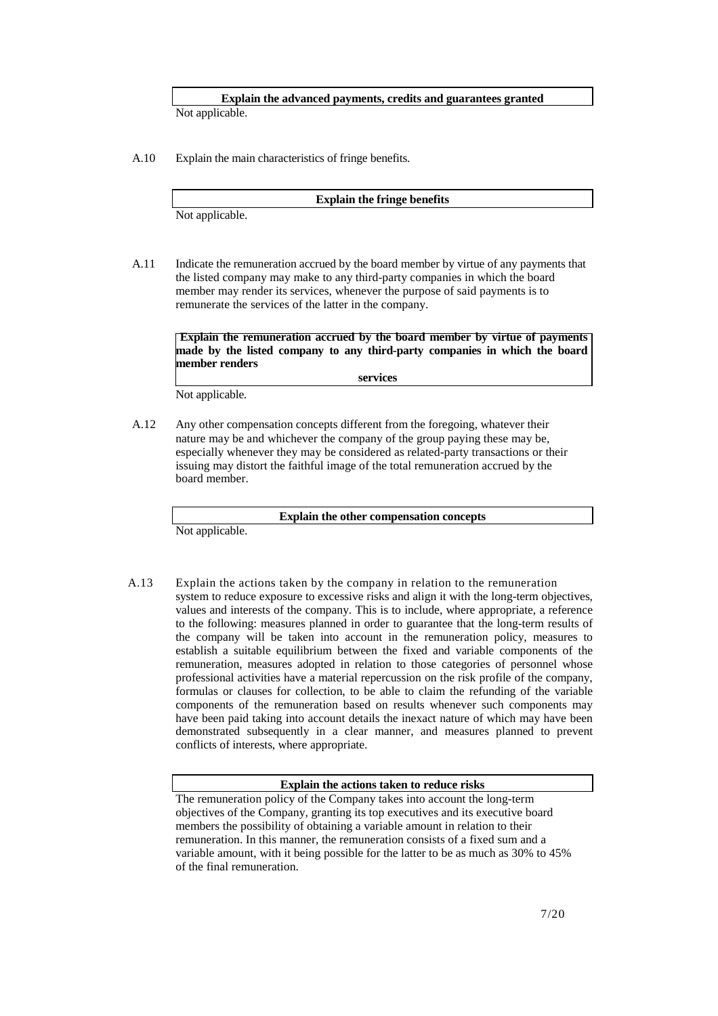**Explain the advanced payments, credits and guarantees granted** 

Not applicable.

A.10 Explain the main characteristics of fringe benefits.

**Explain the fringe benefits** 

Not applicable.

A.11 Indicate the remuneration accrued by the board member by virtue of any payments that the listed company may make to any third-party companies in which the board member may render its services, whenever the purpose of said payments is to remunerate the services of the latter in the company.

**Explain the remuneration accrued by the board member by virtue of payments made by the listed company to any third-party companies in which the board member renders** 

**services** 

Not applicable.

A.12 Any other compensation concepts different from the foregoing, whatever their nature may be and whichever the company of the group paying these may be, especially whenever they may be considered as related-party transactions or their issuing may distort the faithful image of the total remuneration accrued by the board member.

**Explain the other compensation concepts** 

Not applicable.

A.13 Explain the actions taken by the company in relation to the remuneration system to reduce exposure to excessive risks and align it with the long-term objectives, values and interests of the company. This is to include, where appropriate, a reference to the following: measures planned in order to guarantee that the long-term results of the company will be taken into account in the remuneration policy, measures to establish a suitable equilibrium between the fixed and variable components of the remuneration, measures adopted in relation to those categories of personnel whose professional activities have a material repercussion on the risk profile of the company, formulas or clauses for collection, to be able to claim the refunding of the variable components of the remuneration based on results whenever such components may have been paid taking into account details the inexact nature of which may have been demonstrated subsequently in a clear manner, and measures planned to prevent conflicts of interests, where appropriate.

### **Explain the actions taken to reduce risks**

The remuneration policy of the Company takes into account the long-term objectives of the Company, granting its top executives and its executive board members the possibility of obtaining a variable amount in relation to their remuneration. In this manner, the remuneration consists of a fixed sum and a variable amount, with it being possible for the latter to be as much as 30% to 45% of the final remuneration.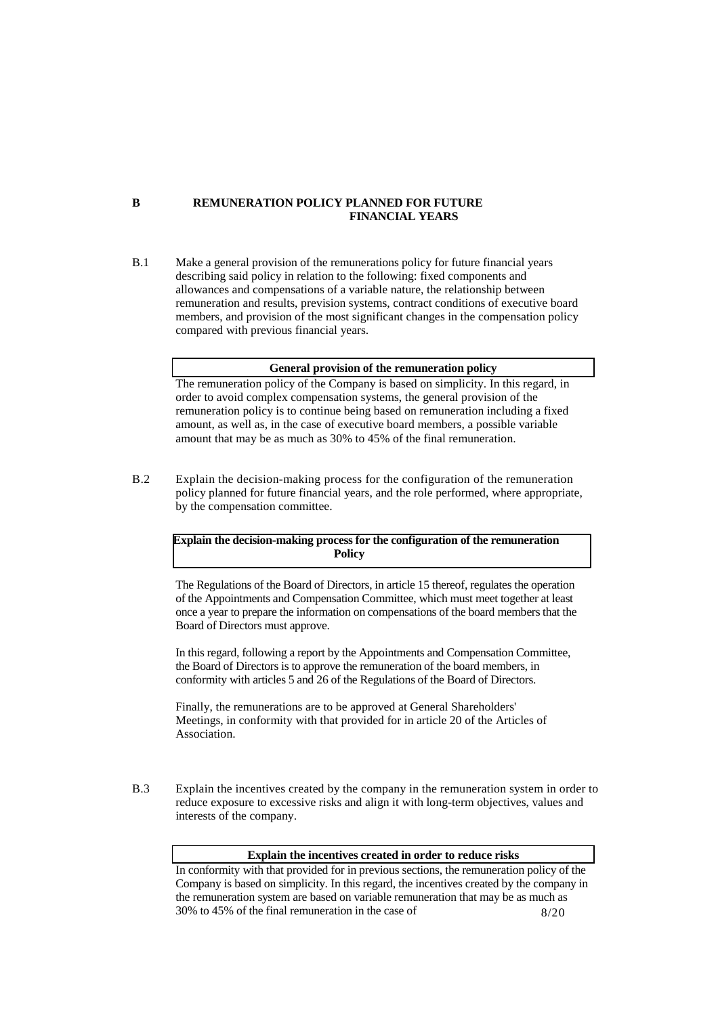### **B REMUNERATION POLICY PLANNED FOR FUTURE FINANCIAL YEARS**

B.1 Make a general provision of the remunerations policy for future financial years describing said policy in relation to the following: fixed components and allowances and compensations of a variable nature, the relationship between remuneration and results, prevision systems, contract conditions of executive board members, and provision of the most significant changes in the compensation policy compared with previous financial years.

# **General provision of the remuneration policy**

The remuneration policy of the Company is based on simplicity. In this regard, in order to avoid complex compensation systems, the general provision of the remuneration policy is to continue being based on remuneration including a fixed amount, as well as, in the case of executive board members, a possible variable amount that may be as much as 30% to 45% of the final remuneration.

B.2 Explain the decision-making process for the configuration of the remuneration policy planned for future financial years, and the role performed, where appropriate, by the compensation committee.

**Explain the decision-making process for the configuration of the remuneration Policy** 

The Regulations of the Board of Directors, in article 15 thereof, regulates the operation of the Appointments and Compensation Committee, which must meet together at least once a year to prepare the information on compensations of the board members that the Board of Directors must approve.

In this regard, following a report by the Appointments and Compensation Committee, the Board of Directors is to approve the remuneration of the board members, in conformity with articles 5 and 26 of the Regulations of the Board of Directors.

Finally, the remunerations are to be approved at General Shareholders' Meetings, in conformity with that provided for in article 20 of the Articles of Association.

B.3 Explain the incentives created by the company in the remuneration system in order to reduce exposure to excessive risks and align it with long-term objectives, values and interests of the company.

### **Explain the incentives created in order to reduce risks**

8/20 In conformity with that provided for in previous sections, the remuneration policy of the Company is based on simplicity. In this regard, the incentives created by the company in the remuneration system are based on variable remuneration that may be as much as 30% to 45% of the final remuneration in the case of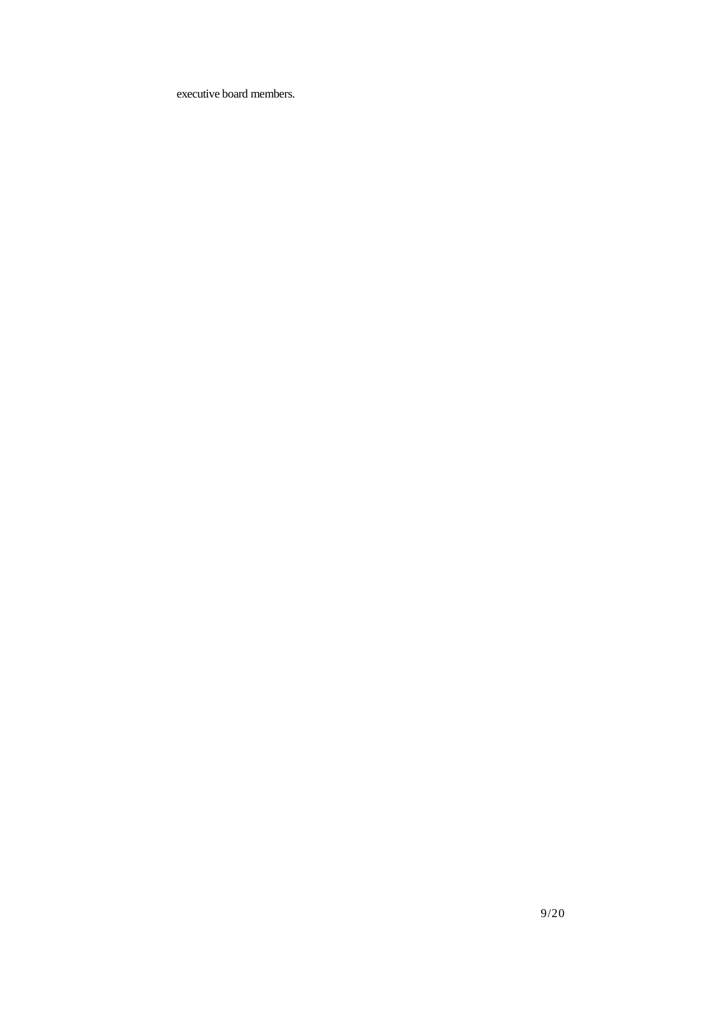executive board members.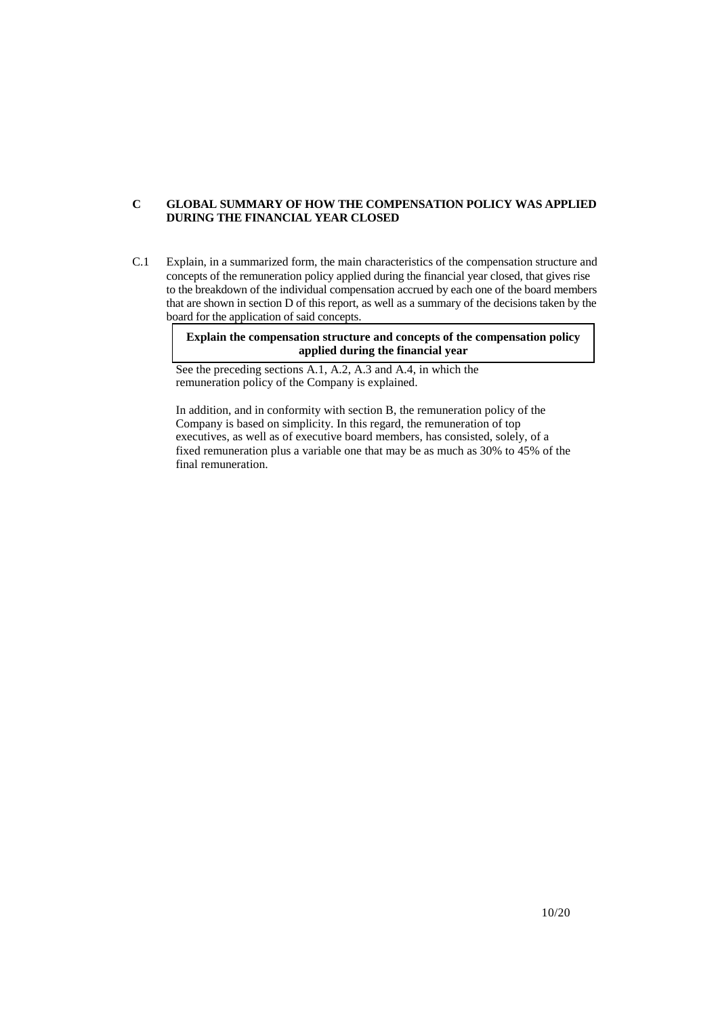# **C GLOBAL SUMMARY OF HOW THE COMPENSATION POLICY WAS APPLIED DURING THE FINANCIAL YEAR CLOSED**

C.1 Explain, in a summarized form, the main characteristics of the compensation structure and concepts of the remuneration policy applied during the financial year closed, that gives rise to the breakdown of the individual compensation accrued by each one of the board members that are shown in section D of this report, as well as a summary of the decisions taken by the board for the application of said concepts.

> **Explain the compensation structure and concepts of the compensation policy applied during the financial year**

See the preceding sections A.1, A.2, A.3 and A.4, in which the remuneration policy of the Company is explained.

In addition, and in conformity with section B, the remuneration policy of the Company is based on simplicity. In this regard, the remuneration of top executives, as well as of executive board members, has consisted, solely, of a fixed remuneration plus a variable one that may be as much as 30% to 45% of the final remuneration.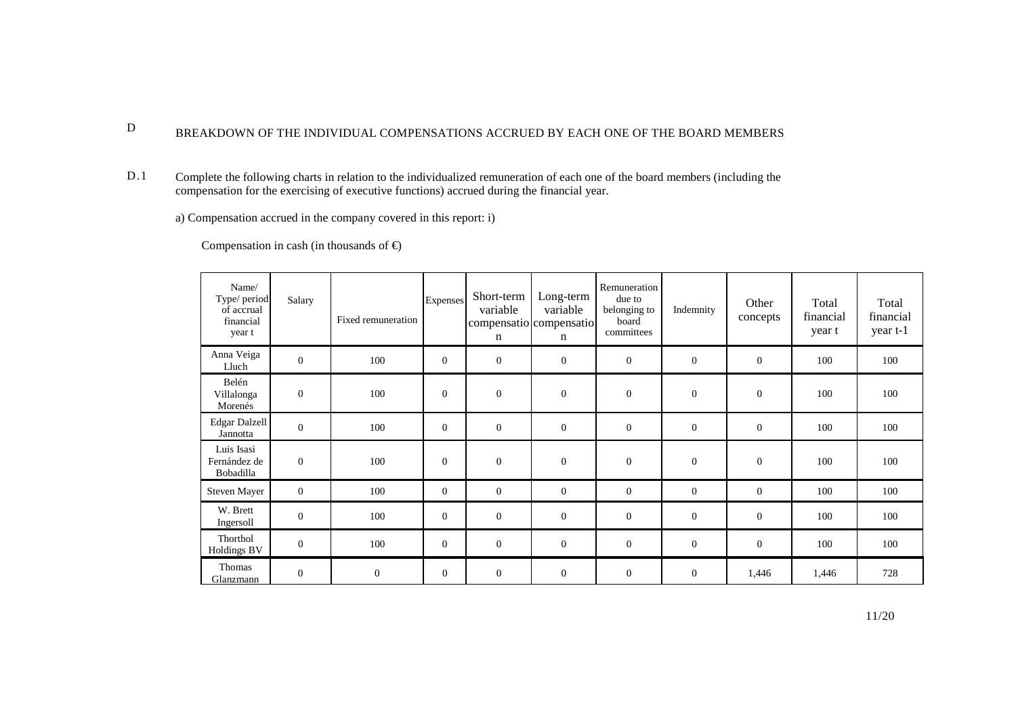#### D BREAKDOWN OF THE INDIVIDUAL COMPENSATIONS ACCRUED BY EACH ONE OF THE BOARD MEMBERS

D.1 Complete the following charts in relation to the individualized remuneration of each one of the board members (including the compensation for the exercising of executive functions) accrued during the financial year.

a) Compensation accrued in the company covered in this report: i)

Compensation in cash (in thousands of  $\epsilon$ )

| Name/<br>Type/ period<br>of accrual<br>financial<br>year t | Salary           | Fixed remuneration | <b>Expenses</b> | Short-term<br>variable<br>compensatio compensatio<br>n | Long-term<br>variable<br>n | Remuneration<br>due to<br>belonging to<br>board<br>committees | Indemnity        | Other<br>concepts | Total<br>financial<br>year t | Total<br>financial<br>year t-1 |
|------------------------------------------------------------|------------------|--------------------|-----------------|--------------------------------------------------------|----------------------------|---------------------------------------------------------------|------------------|-------------------|------------------------------|--------------------------------|
| Anna Veiga<br>Lluch                                        | $\mathbf{0}$     | 100                | $\mathbf{0}$    | $\mathbf{0}$                                           | $\mathbf{0}$               | $\mathbf{0}$                                                  | $\overline{0}$   | $\theta$          | 100                          | 100                            |
| Belén<br>Villalonga<br>Morenés                             | $\mathbf{0}$     | 100                | $\mathbf{0}$    | $\mathbf{0}$                                           | $\theta$                   | $\mathbf{0}$                                                  | $\overline{0}$   | $\theta$          | 100                          | 100                            |
| Edgar Dalzell<br>Jannotta                                  | $\mathbf{0}$     | 100                | $\mathbf{0}$    | $\mathbf{0}$                                           | $\mathbf{0}$               | $\mathbf{0}$                                                  | $\mathbf{0}$     | $\mathbf{0}$      | 100                          | 100                            |
| Luis Isasi<br>Fernández de<br>Bobadilla                    | $\mathbf{0}$     | 100                | $\mathbf{0}$    | $\theta$                                               | $\theta$                   | $\mathbf{0}$                                                  | $\overline{0}$   | $\theta$          | 100                          | 100                            |
| <b>Steven Mayer</b>                                        | $\overline{0}$   | 100                | $\mathbf{0}$    | $\overline{0}$                                         | $\overline{0}$             | $\mathbf{0}$                                                  | $\mathbf{0}$     | $\theta$          | 100                          | 100                            |
| W. Brett<br>Ingersoll                                      | $\boldsymbol{0}$ | 100                | $\mathbf{0}$    | $\mathbf{0}$                                           | $\mathbf{0}$               | $\boldsymbol{0}$                                              | $\mathbf{0}$     | $\overline{0}$    | 100                          | 100                            |
| Thorthol<br><b>Holdings BV</b>                             | $\mathbf{0}$     | 100                | $\mathbf{0}$    | $\mathbf{0}$                                           | $\theta$                   | $\mathbf{0}$                                                  | $\boldsymbol{0}$ | $\theta$          | 100                          | 100                            |
| Thomas<br>Glanzmann                                        | $\mathbf{0}$     | $\mathbf{0}$       | $\mathbf{0}$    | $\boldsymbol{0}$                                       | $\mathbf{0}$               | $\mathbf{0}$                                                  | $\mathbf{0}$     | 1,446             | 1,446                        | 728                            |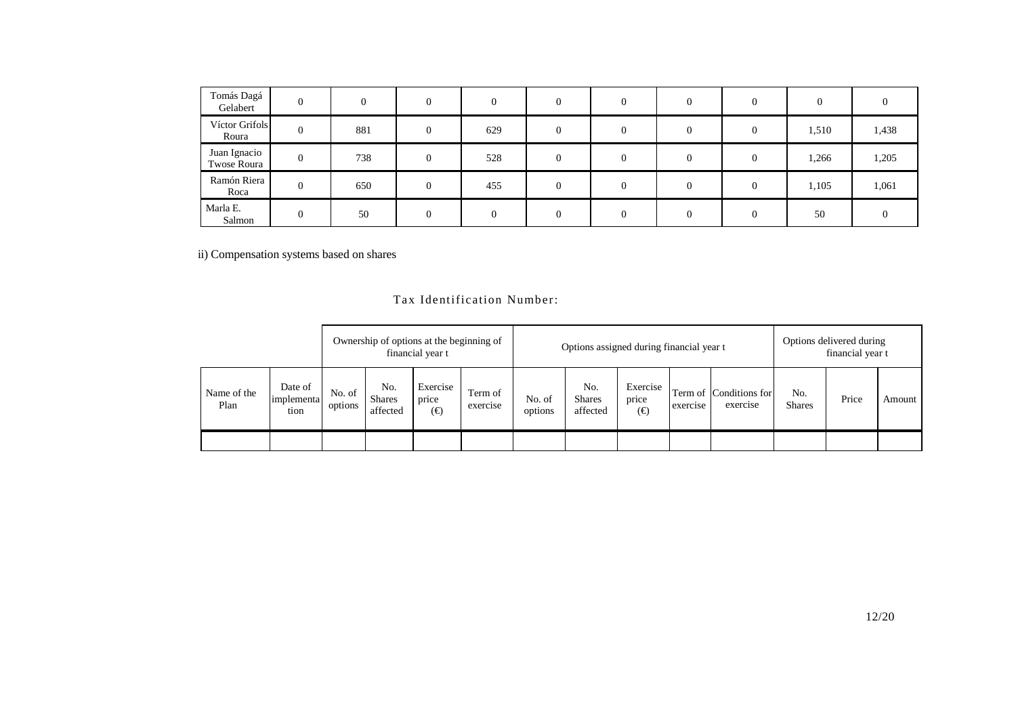| Tomás Dagá<br>Gelabert      | $\theta$       | $\Omega$ |          | $\Omega$ | $\Omega$ | $\theta$       |   |          |       |       |
|-----------------------------|----------------|----------|----------|----------|----------|----------------|---|----------|-------|-------|
| Víctor Grifols<br>Roura     | $\overline{0}$ | 881      | $\Omega$ | 629      | $\Omega$ | $\overline{0}$ | 0 | $\Omega$ | 1,510 | 1,438 |
| Juan Ignacio<br>Twose Roura | $\mathbf{0}$   | 738      | 0        | 528      | $\Omega$ | $\Omega$       |   | $\Omega$ | 1,266 | 1,205 |
| Ramón Riera<br>Roca         | $\overline{0}$ | 650      | $\Omega$ | 455      | $\Omega$ | $\overline{0}$ |   | $\Omega$ | 1,105 | 1,061 |
| Marla E.<br>Salmon          | $\Omega$       | 50       |          | $\Omega$ | $\Omega$ | $\Omega$       | 0 |          | 50    |       |

ii) Compensation systems based on shares

# Tax Identification Number:

|                     |                               | Ownership of options at the beginning of<br>financial year t |                                  |                          |                     |                   | Options assigned during financial year t |                          |          |                                    | Options delivered during<br>financial year t |       |        |
|---------------------|-------------------------------|--------------------------------------------------------------|----------------------------------|--------------------------|---------------------|-------------------|------------------------------------------|--------------------------|----------|------------------------------------|----------------------------------------------|-------|--------|
| Name of the<br>Plan | Date of<br>implementa<br>tion | No. of<br>options                                            | No.<br><b>Shares</b><br>affected | Exercise<br>price<br>(€) | Term of<br>exercise | No. of<br>options | No.<br><b>Shares</b><br>affected         | Exercise<br>price<br>(€) | exercise | Term of Conditions for<br>exercise | No.<br><b>Shares</b>                         | Price | Amount |
|                     |                               |                                                              |                                  |                          |                     |                   |                                          |                          |          |                                    |                                              |       |        |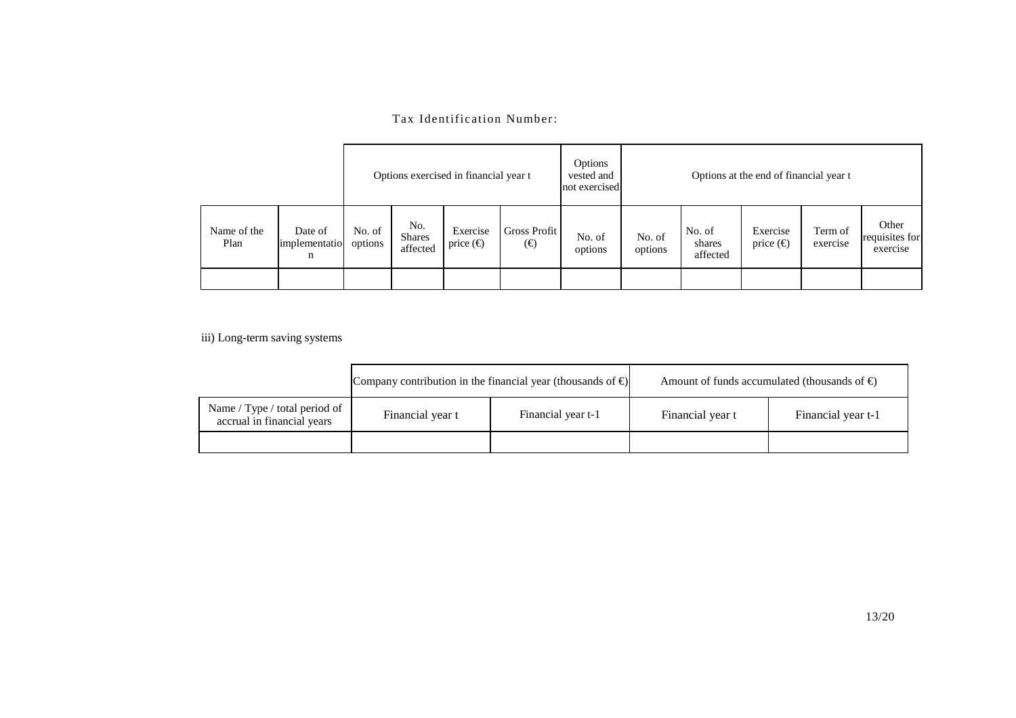# Tax Identification Number:

|                     |                                                                                                                                                            |  | Options exercised in financial year t |                   | Options<br>vested and<br>not exercised | Options at the end of financial year t |                     |                                     |  |  |
|---------------------|------------------------------------------------------------------------------------------------------------------------------------------------------------|--|---------------------------------------|-------------------|----------------------------------------|----------------------------------------|---------------------|-------------------------------------|--|--|
| Name of the<br>Plan | No.<br><b>Gross Profit</b><br>Exercise<br>No. of<br>Date of<br><b>Shares</b><br>options<br>price $(\epsilon)$<br>$(\in)$<br>implementatio<br>affected<br>n |  | No. of<br>options                     | No. of<br>options | No. of<br>shares<br>affected           | Exercise<br>price $(\epsilon)$         | Term of<br>exercise | Other<br>requisites for<br>exercise |  |  |
|                     |                                                                                                                                                            |  |                                       |                   |                                        |                                        |                     |                                     |  |  |

iii) Long-term saving systems

|                                                             | Company contribution in the financial year (thousands of $\epsilon$ ) |                    | Amount of funds accumulated (thousands of $\epsilon$ ) |                    |  |  |
|-------------------------------------------------------------|-----------------------------------------------------------------------|--------------------|--------------------------------------------------------|--------------------|--|--|
| Name / Type / total period of<br>accrual in financial years | Financial year t                                                      | Financial year t-1 | Financial year t                                       | Financial year t-1 |  |  |
|                                                             |                                                                       |                    |                                                        |                    |  |  |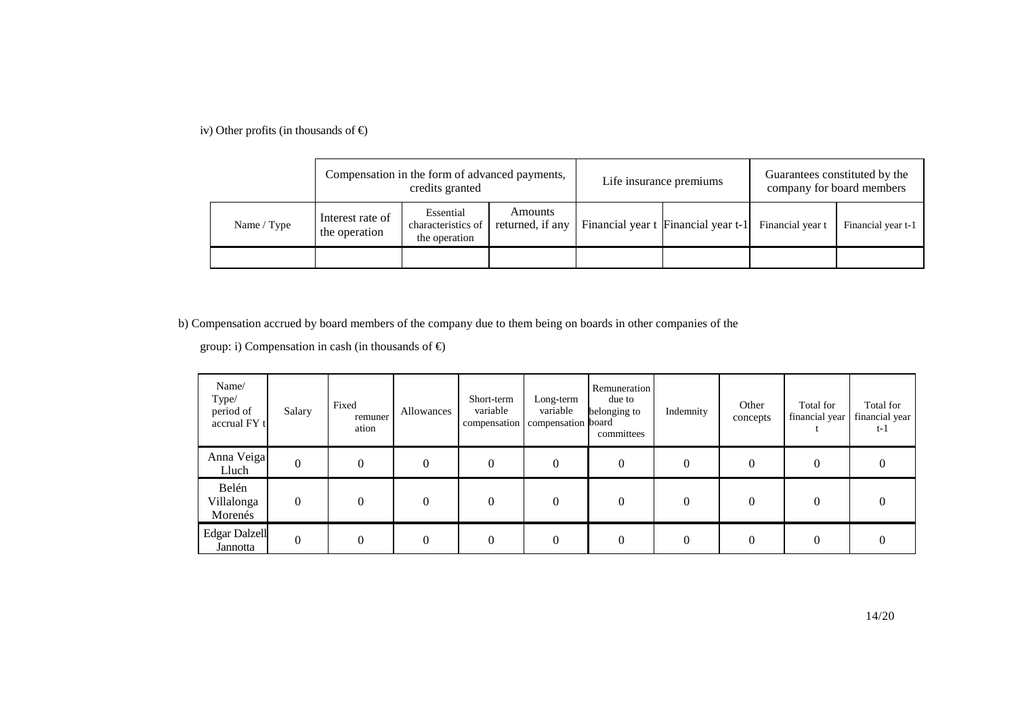iv) Other profits (in thousands of  $\epsilon$ )

|             |                                   | Compensation in the form of advanced payments,<br>credits granted               |  | Life insurance premiums                              | Guarantees constituted by the<br>company for board members |                    |  |
|-------------|-----------------------------------|---------------------------------------------------------------------------------|--|------------------------------------------------------|------------------------------------------------------------|--------------------|--|
| Name / Type | Interest rate of<br>the operation | Amounts<br>Essential<br>returned, if any<br>characteristics of<br>the operation |  | Financial year t Financial year t-1 Financial year t |                                                            | Financial year t-1 |  |
|             |                                   |                                                                                 |  |                                                      |                                                            |                    |  |

b) Compensation accrued by board members of the company due to them being on boards in other companies of the

group: i) Compensation in cash (in thousands of  $\epsilon$ )

| Name/<br>Type/<br>period of<br>accrual FY t | Salary         | Fixed<br>remuner<br>ation | Allowances | Short-term<br>variable | Long-term<br>variable<br>compensation compensation board | Remuneration<br>due to<br>belonging to<br>committees | Indemnity | Other<br>concepts | Total for<br>financial year | Total for<br>financial year<br>$t-1$ |
|---------------------------------------------|----------------|---------------------------|------------|------------------------|----------------------------------------------------------|------------------------------------------------------|-----------|-------------------|-----------------------------|--------------------------------------|
| Anna Veiga<br>Lluch                         | $\overline{0}$ | 0                         | $\Omega$   | 0                      | 0                                                        | 0                                                    | $\theta$  | $\overline{0}$    |                             | $\theta$                             |
| Belén<br>Villalonga<br>Morenés              | $\theta$       | $\Omega$                  | $\Omega$   | $\theta$               |                                                          | $\Omega$                                             |           | $\Omega$          |                             | $\Omega$                             |
| <b>Edgar Dalzell</b><br>Jannotta            | $\theta$       | $\Omega$                  | $\Omega$   | $\Omega$               |                                                          | 0                                                    |           | $\Omega$          |                             | $\Omega$                             |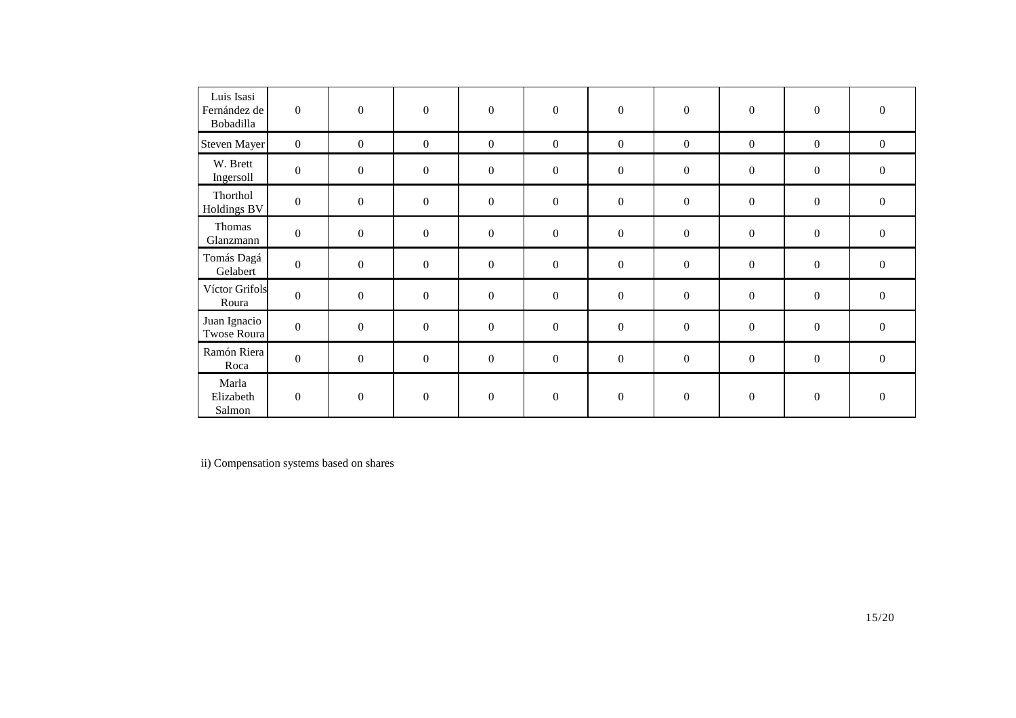| Luis Isasi<br>Fernández de<br>Bobadilla | $\boldsymbol{0}$ | $\boldsymbol{0}$ | $\boldsymbol{0}$ | $\boldsymbol{0}$ | $\boldsymbol{0}$ | $\boldsymbol{0}$ | $\boldsymbol{0}$ | $\boldsymbol{0}$ | $\boldsymbol{0}$ | $\boldsymbol{0}$ |
|-----------------------------------------|------------------|------------------|------------------|------------------|------------------|------------------|------------------|------------------|------------------|------------------|
| <b>Steven Mayer</b>                     | $\overline{0}$   | $\boldsymbol{0}$ | $\boldsymbol{0}$ | $\boldsymbol{0}$ | $\boldsymbol{0}$ | $\boldsymbol{0}$ | $\boldsymbol{0}$ | $\boldsymbol{0}$ | $\boldsymbol{0}$ | $\mathbf{0}$     |
| W. Brett<br>Ingersoll                   | $\mathbf{0}$     | $\boldsymbol{0}$ | $\overline{0}$   | $\boldsymbol{0}$ | $\boldsymbol{0}$ | $\boldsymbol{0}$ | $\mathbf{0}$     | $\boldsymbol{0}$ | $\boldsymbol{0}$ | $\boldsymbol{0}$ |
| Thorthol<br><b>Holdings BV</b>          | $\mathbf{0}$     | $\boldsymbol{0}$ | $\overline{0}$   | $\boldsymbol{0}$ | $\boldsymbol{0}$ | $\boldsymbol{0}$ | $\mathbf{0}$     | $\boldsymbol{0}$ | $\boldsymbol{0}$ | $\boldsymbol{0}$ |
| Thomas<br>Glanzmann                     | $\mathbf{0}$     | $\boldsymbol{0}$ | $\overline{0}$   | $\boldsymbol{0}$ | $\boldsymbol{0}$ | $\boldsymbol{0}$ | $\mathbf{0}$     | $\boldsymbol{0}$ | $\boldsymbol{0}$ | $\boldsymbol{0}$ |
| Tomás Dagá<br>Gelabert                  | $\Omega$         | $\boldsymbol{0}$ | $\boldsymbol{0}$ | $\boldsymbol{0}$ | $\boldsymbol{0}$ | $\boldsymbol{0}$ | $\boldsymbol{0}$ | $\boldsymbol{0}$ | $\boldsymbol{0}$ | $\boldsymbol{0}$ |
| Víctor Grifols<br>Roura                 | $\boldsymbol{0}$ | $\boldsymbol{0}$ | $\boldsymbol{0}$ | $\boldsymbol{0}$ | $\boldsymbol{0}$ | $\boldsymbol{0}$ | $\boldsymbol{0}$ | $\boldsymbol{0}$ | $\boldsymbol{0}$ | $\boldsymbol{0}$ |
| Juan Ignacio<br>Twose Roura             | $\mathbf{0}$     | $\boldsymbol{0}$ | $\boldsymbol{0}$ | $\boldsymbol{0}$ | $\boldsymbol{0}$ | $\overline{0}$   | $\boldsymbol{0}$ | $\boldsymbol{0}$ | $\boldsymbol{0}$ | $\boldsymbol{0}$ |
| Ramón Riera<br>Roca                     | $\boldsymbol{0}$ | $\boldsymbol{0}$ | $\boldsymbol{0}$ | $\boldsymbol{0}$ | $\boldsymbol{0}$ | $\boldsymbol{0}$ | $\boldsymbol{0}$ | $\boldsymbol{0}$ | $\boldsymbol{0}$ | $\boldsymbol{0}$ |
| Marla<br>Elizabeth<br>Salmon            | $\boldsymbol{0}$ | $\overline{0}$   | $\boldsymbol{0}$ | $\boldsymbol{0}$ | $\boldsymbol{0}$ | $\boldsymbol{0}$ | $\mathbf{0}$     | $\boldsymbol{0}$ | $\boldsymbol{0}$ | $\overline{0}$   |

ii) Compensation systems based on shares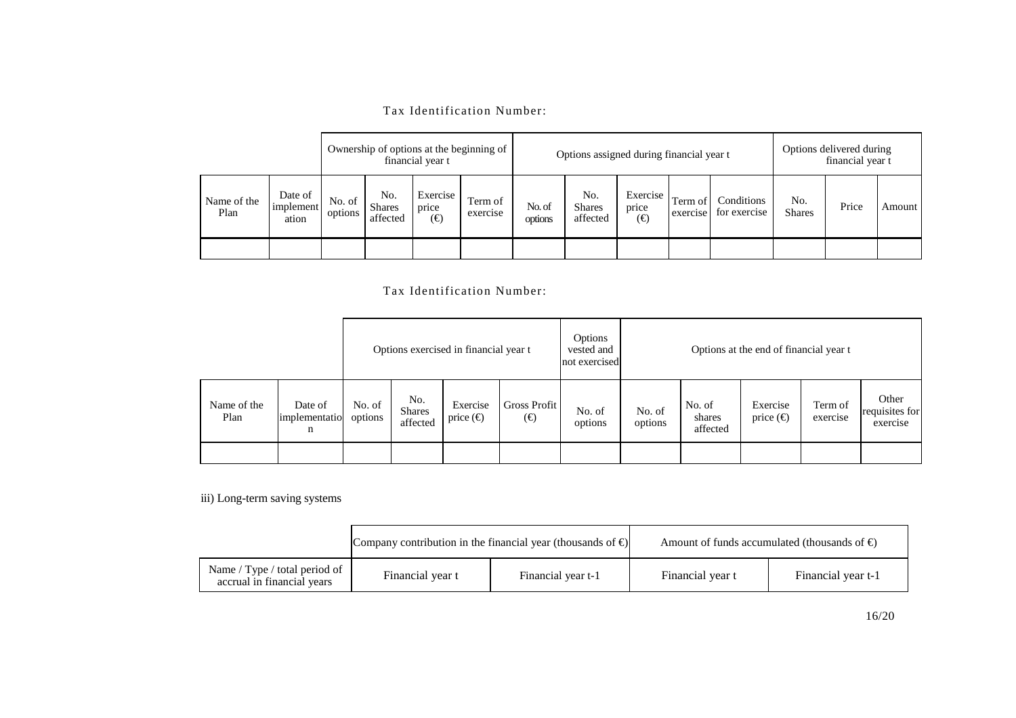|  | Tax Identification Number: |  |
|--|----------------------------|--|
|--|----------------------------|--|

|                     |                               | Ownership of options at the beginning of<br>financial year t |                                  |                              |                     | Options assigned during financial year t |                                  |                                                |         | Options delivered during<br>financial year t |                      |       |        |
|---------------------|-------------------------------|--------------------------------------------------------------|----------------------------------|------------------------------|---------------------|------------------------------------------|----------------------------------|------------------------------------------------|---------|----------------------------------------------|----------------------|-------|--------|
| Name of the<br>Plan | Date of<br>implement<br>ation | No. of<br>options                                            | No.<br><b>Shares</b><br>affected | Exercise<br>price<br>$(\in)$ | Term of<br>exercise | No. of<br>options                        | No.<br><b>Shares</b><br>affected | Exercise<br>price<br>$(\boldsymbol{\epsilon})$ | Term of | Conditions<br>exercise for exercise          | No.<br><b>Shares</b> | Price | Amount |
|                     |                               |                                                              |                                  |                              |                     |                                          |                                  |                                                |         |                                              |                      |       |        |

# Tax Identification Number:

|                     |                               | Options exercised in financial year t |                                  |                                |                              | Options<br>vested and<br>not exercised |                   |                              | Options at the end of financial year t |                     |                                     |
|---------------------|-------------------------------|---------------------------------------|----------------------------------|--------------------------------|------------------------------|----------------------------------------|-------------------|------------------------------|----------------------------------------|---------------------|-------------------------------------|
| Name of the<br>Plan | Date of<br>implementatio<br>n | No. of<br>options                     | No.<br><b>Shares</b><br>affected | Exercise<br>price $(\epsilon)$ | Gross Profit<br>$(\epsilon)$ | No. of<br>options                      | No. of<br>options | No. of<br>shares<br>affected | Exercise<br>price $(\epsilon)$         | Term of<br>exercise | Other<br>requisites for<br>exercise |
|                     |                               |                                       |                                  |                                |                              |                                        |                   |                              |                                        |                     |                                     |

iii) Long-term saving systems

|                                                             | Company contribution in the financial year (thousands of $\epsilon$ ) |                    |                  | Amount of funds accumulated (thousands of $\epsilon$ ) |
|-------------------------------------------------------------|-----------------------------------------------------------------------|--------------------|------------------|--------------------------------------------------------|
| Name / Type / total period of<br>accrual in financial years | Financial year t                                                      | Financial year t-1 | Financial year t | Financial year t-1                                     |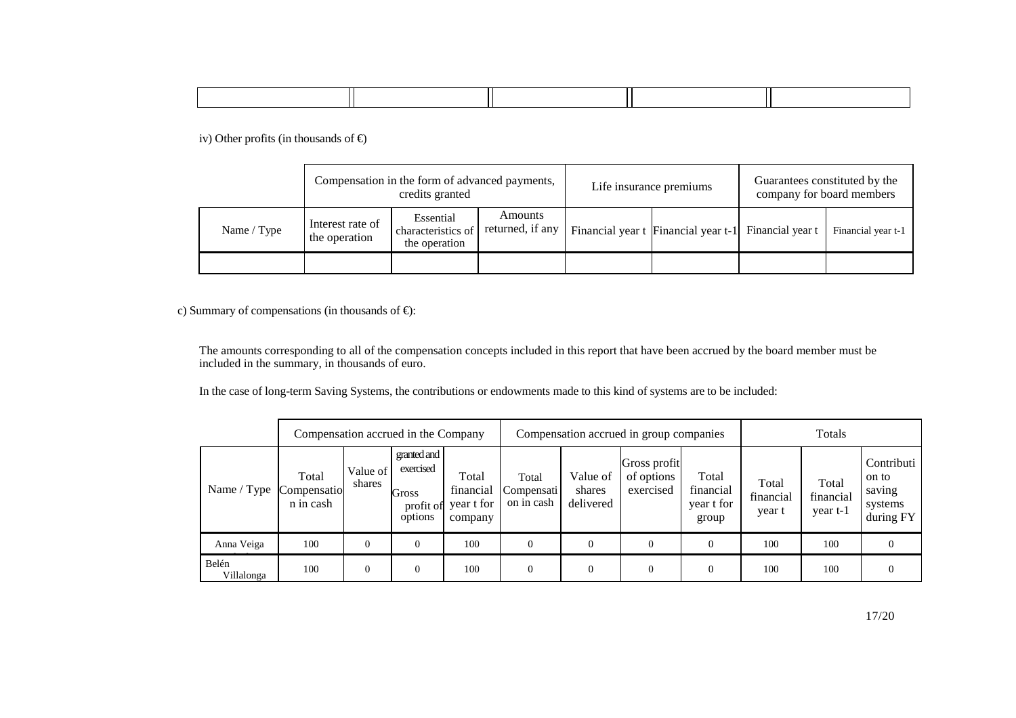iv) Other profits (in thousands of  $\epsilon$ )

|             |                                   | Compensation in the form of advanced payments,<br>credits granted |                             | Life insurance premiums                              | Guarantees constituted by the<br>company for board members |                    |  |
|-------------|-----------------------------------|-------------------------------------------------------------------|-----------------------------|------------------------------------------------------|------------------------------------------------------------|--------------------|--|
| Name / Type | Interest rate of<br>the operation | Essential<br>characteristics of<br>the operation                  | Amounts<br>returned, if any | Financial year t Financial year t-1 Financial year t |                                                            | Financial year t-1 |  |
|             |                                   |                                                                   |                             |                                                      |                                                            |                    |  |

c) Summary of compensations (in thousands of  $\epsilon$ ):

The amounts corresponding to all of the compensation concepts included in this report that have been accrued by the board member must be included in the summary, in thousands of euro.

In the case of long-term Saving Systems, the contributions or endowments made to this kind of systems are to be included:

|                     | Compensation accrued in the Company |                    |                                                           | Compensation accrued in group companies     |                                   |                                 |                                         | Totals                                    |                              |                                |                                                       |
|---------------------|-------------------------------------|--------------------|-----------------------------------------------------------|---------------------------------------------|-----------------------------------|---------------------------------|-----------------------------------------|-------------------------------------------|------------------------------|--------------------------------|-------------------------------------------------------|
| Name / Type         | Total<br>Compensatio<br>n in cash   | Value of<br>shares | granted and<br>exercised<br>Gross<br>profit of<br>options | Total<br>financial<br>year t for<br>company | Total<br>Compensati<br>on in cash | Value of<br>shares<br>delivered | Gross profit<br>of options<br>exercised | Total<br>financial<br>year t for<br>group | Total<br>financial<br>year t | Total<br>financial<br>year t-1 | Contributi<br>on to<br>saving<br>systems<br>during FY |
| Anna Veiga          | 100                                 | $\mathbf{0}$       |                                                           | 100                                         | $\theta$                          | $\Omega$                        |                                         | $\theta$                                  | 100                          | 100                            |                                                       |
| Belén<br>Villalonga | 100                                 | $\overline{0}$     | $\Omega$                                                  | 100                                         | $\mathbf{0}$                      | $\Omega$                        |                                         | $\Omega$                                  | 100                          | 100                            |                                                       |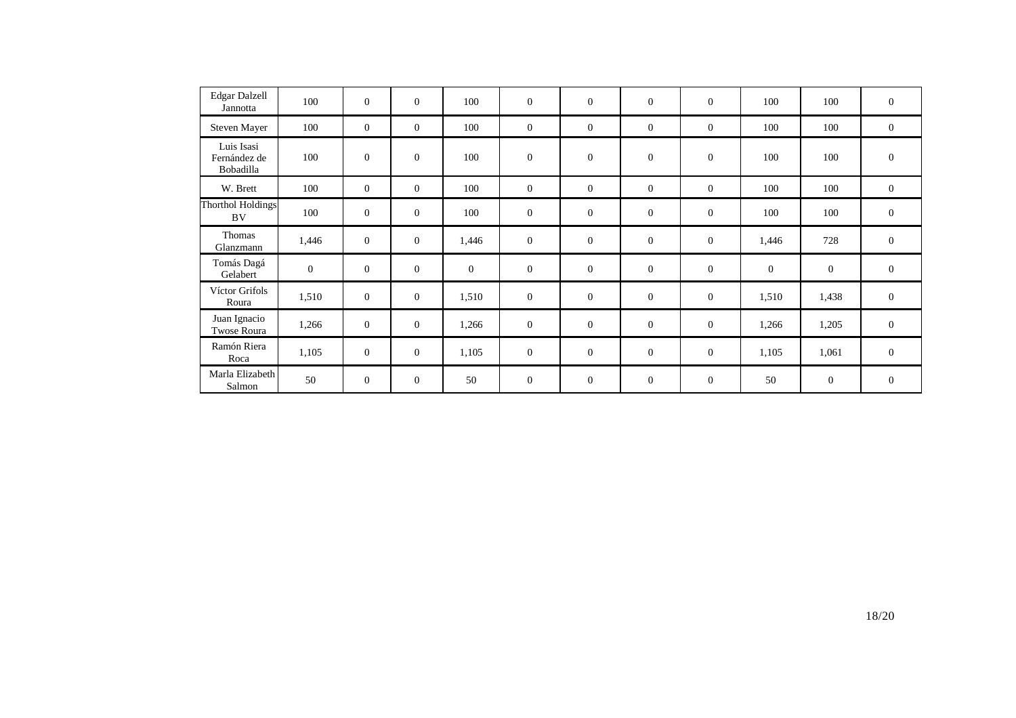| <b>Edgar Dalzell</b><br>Jannotta        | 100          | $\mathbf{0}$   | $\boldsymbol{0}$ | 100          | $\mathbf{0}$     | $\mathbf{0}$   | $\mathbf{0}$   | $\overline{0}$   | 100          | 100              | $\mathbf{0}$     |
|-----------------------------------------|--------------|----------------|------------------|--------------|------------------|----------------|----------------|------------------|--------------|------------------|------------------|
| Steven Mayer                            | 100          | $\overline{0}$ | $\mathbf{0}$     | 100          | $\mathbf{0}$     | $\overline{0}$ | $\overline{0}$ | $\overline{0}$   | 100          | 100              | $\mathbf{0}$     |
| Luis Isasi<br>Fernández de<br>Bobadilla | 100          | $\mathbf{0}$   | $\mathbf{0}$     | 100          | $\boldsymbol{0}$ | $\mathbf{0}$   | $\mathbf{0}$   | $\boldsymbol{0}$ | 100          | 100              | $\boldsymbol{0}$ |
| W. Brett                                | 100          | $\overline{0}$ | $\theta$         | 100          | $\overline{0}$   | $\overline{0}$ | $\theta$       | $\overline{0}$   | 100          | 100              | $\overline{0}$   |
| <b>Thorthol Holdings</b><br>BV          | 100          | $\mathbf{0}$   | $\mathbf{0}$     | 100          | $\mathbf{0}$     | $\mathbf{0}$   | $\overline{0}$ | $\overline{0}$   | 100          | 100              | $\mathbf{0}$     |
| Thomas<br>Glanzmann                     | 1,446        | $\mathbf{0}$   | $\mathbf{0}$     | 1,446        | $\boldsymbol{0}$ | $\mathbf{0}$   | $\mathbf{0}$   | $\mathbf{0}$     | 1,446        | 728              | $\boldsymbol{0}$ |
| Tomás Dagá<br>Gelabert                  | $\mathbf{0}$ | $\mathbf{0}$   | $\overline{0}$   | $\mathbf{0}$ | $\mathbf{0}$     | $\mathbf{0}$   | $\mathbf{0}$   | $\boldsymbol{0}$ | $\mathbf{0}$ | $\boldsymbol{0}$ | $\mathbf{0}$     |
| Víctor Grifols<br>Roura                 | 1,510        | $\mathbf{0}$   | $\mathbf{0}$     | 1,510        | $\boldsymbol{0}$ | $\mathbf{0}$   | $\overline{0}$ | $\mathbf{0}$     | 1,510        | 1,438            | $\mathbf{0}$     |
| Juan Ignacio<br>Twose Roura             | 1,266        | $\mathbf{0}$   | $\mathbf{0}$     | 1,266        | $\mathbf{0}$     | $\mathbf{0}$   | $\mathbf{0}$   | $\mathbf{0}$     | 1,266        | 1,205            | $\mathbf{0}$     |
| Ramón Riera<br>Roca                     | 1,105        | $\overline{0}$ | $\overline{0}$   | 1,105        | $\mathbf{0}$     | $\theta$       | $\mathbf{0}$   | $\overline{0}$   | 1,105        | 1,061            | $\overline{0}$   |
| Marla Elizabeth<br>Salmon               | 50           | $\mathbf{0}$   | $\boldsymbol{0}$ | 50           | $\boldsymbol{0}$ | $\mathbf{0}$   | $\mathbf{0}$   | $\overline{0}$   | 50           | $\boldsymbol{0}$ | $\mathbf{0}$     |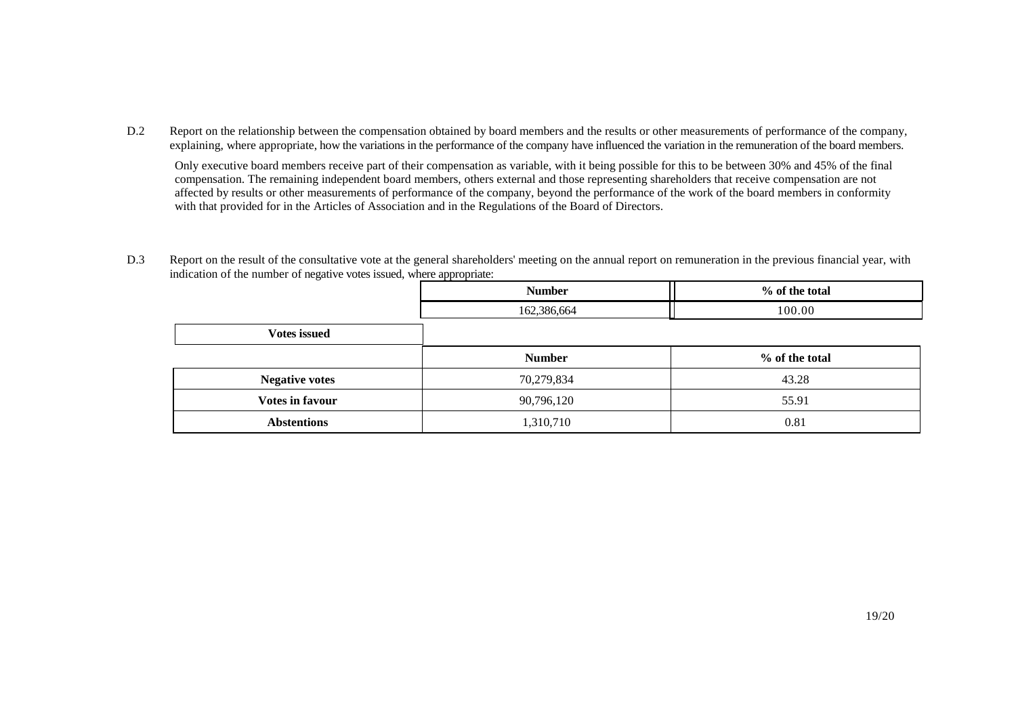D.2 Report on the relationship between the compensation obtained by board members and the results or other measurements of performance of the company, explaining, where appropriate, how the variations in the performance of the company have influenced the variation in the remuneration of the board members.

Only executive board members receive part of their compensation as variable, with it being possible for this to be between 30% and 45% of the final compensation. The remaining independent board members, others external and those representing shareholders that receive compensation are not affected by results or other measurements of performance of the company, beyond the performance of the work of the board members in conformity with that provided for in the Articles of Association and in the Regulations of the Board of Directors.

D.3 Report on the result of the consultative vote at the general shareholders' meeting on the annual report on remuneration in the previous financial year, with indication of the number of negative votes issued, where appropriate:

|                       | <b>Number</b> | % of the total |
|-----------------------|---------------|----------------|
|                       | 162,386,664   | 100.00         |
| <b>Votes issued</b>   |               |                |
|                       | <b>Number</b> | % of the total |
| <b>Negative votes</b> | 70,279,834    | 43.28          |
| Votes in favour       | 90,796,120    | 55.91          |
| <b>Abstentions</b>    | 1,310,710     | 0.81           |